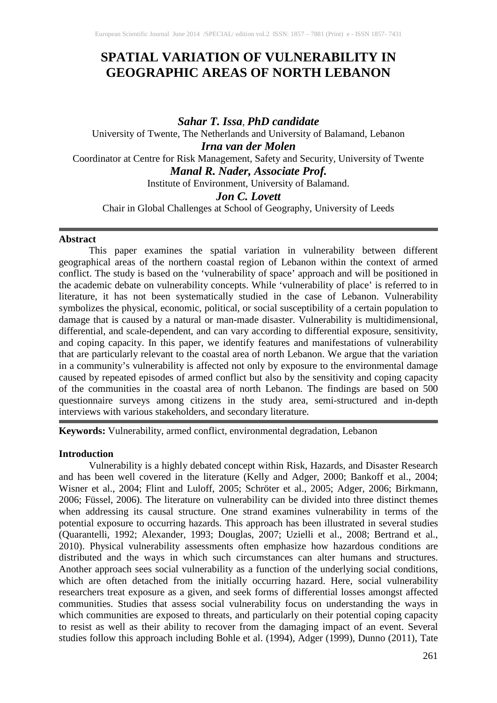# **SPATIAL VARIATION OF VULNERABILITY IN GEOGRAPHIC AREAS OF NORTH LEBANON**

*Sahar T. Issa*, *PhD candidate* University of Twente, The Netherlands and University of Balamand, Lebanon *Irna van der Molen* Coordinator at Centre for Risk Management, Safety and Security, University of Twente *Manal R. Nader, Associate Prof.* Institute of Environment, University of Balamand. *Jon C. Lovett*

Chair in Global Challenges at School of Geography, University of Leeds

# **Abstract**

This paper examines the spatial variation in vulnerability between different geographical areas of the northern coastal region of Lebanon within the context of armed conflict. The study is based on the 'vulnerability of space' approach and will be positioned in the academic debate on vulnerability concepts. While 'vulnerability of place' is referred to in literature, it has not been systematically studied in the case of Lebanon. Vulnerability symbolizes the physical, economic, political, or social susceptibility of a certain population to damage that is caused by a natural or man-made disaster. Vulnerability is multidimensional, differential, and scale-dependent, and can vary according to differential exposure, sensitivity, and coping capacity. In this paper, we identify features and manifestations of vulnerability that are particularly relevant to the coastal area of north Lebanon. We argue that the variation in a community's vulnerability is affected not only by exposure to the environmental damage caused by repeated episodes of armed conflict but also by the sensitivity and coping capacity of the communities in the coastal area of north Lebanon. The findings are based on 500 questionnaire surveys among citizens in the study area, semi-structured and in-depth interviews with various stakeholders, and secondary literature.

**Keywords:** Vulnerability, armed conflict, environmental degradation, Lebanon

# **Introduction**

Vulnerability is a highly debated concept within Risk, Hazards, and Disaster Research and has been well covered in the literature (Kelly and Adger, 2000; Bankoff et al., 2004; Wisner et al., 2004; Flint and Luloff, 2005; Schröter et al., 2005; Adger, 2006; Birkmann, 2006; Füssel, 2006). The literature on vulnerability can be divided into three distinct themes when addressing its causal structure. One strand examines vulnerability in terms of the potential exposure to occurring hazards. This approach has been illustrated in several studies (Quarantelli, 1992; Alexander, 1993; Douglas, 2007; Uzielli et al., 2008; Bertrand et al., 2010). Physical vulnerability assessments often emphasize how hazardous conditions are distributed and the ways in which such circumstances can alter humans and structures. Another approach sees social vulnerability as a function of the underlying social conditions, which are often detached from the initially occurring hazard. Here, social vulnerability researchers treat exposure as a given, and seek forms of differential losses amongst affected communities. Studies that assess social vulnerability focus on understanding the ways in which communities are exposed to threats, and particularly on their potential coping capacity to resist as well as their ability to recover from the damaging impact of an event. Several studies follow this approach including Bohle et al. (1994), Adger (1999), Dunno (2011), Tate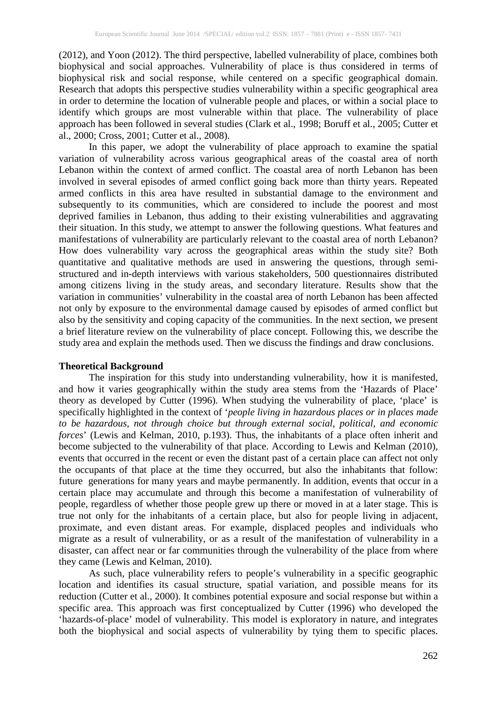(2012), and Yoon (2012). The third perspective, labelled vulnerability of place, combines both biophysical and social approaches. Vulnerability of place is thus considered in terms of biophysical risk and social response, while centered on a specific geographical domain. Research that adopts this perspective studies vulnerability within a specific geographical area in order to determine the location of vulnerable people and places, or within a social place to identify which groups are most vulnerable within that place. The vulnerability of place approach has been followed in several studies (Clark et al., 1998; Boruff et al., 2005; Cutter et al., 2000; Cross, 2001; Cutter et al., 2008).

In this paper, we adopt the vulnerability of place approach to examine the spatial variation of vulnerability across various geographical areas of the coastal area of north Lebanon within the context of armed conflict. The coastal area of north Lebanon has been involved in several episodes of armed conflict going back more than thirty years. Repeated armed conflicts in this area have resulted in substantial damage to the environment and subsequently to its communities, which are considered to include the poorest and most deprived families in Lebanon, thus adding to their existing vulnerabilities and aggravating their situation. In this study, we attempt to answer the following questions. What features and manifestations of vulnerability are particularly relevant to the coastal area of north Lebanon? How does vulnerability vary across the geographical areas within the study site? Both quantitative and qualitative methods are used in answering the questions, through semistructured and in-depth interviews with various stakeholders, 500 questionnaires distributed among citizens living in the study areas, and secondary literature. Results show that the variation in communities' vulnerability in the coastal area of north Lebanon has been affected not only by exposure to the environmental damage caused by episodes of armed conflict but also by the sensitivity and coping capacity of the communities. In the next section, we present a brief literature review on the vulnerability of place concept. Following this, we describe the study area and explain the methods used. Then we discuss the findings and draw conclusions.

# **Theoretical Background**

The inspiration for this study into understanding vulnerability, how it is manifested, and how it varies geographically within the study area stems from the 'Hazards of Place' theory as developed by Cutter (1996). When studying the vulnerability of place, 'place' is specifically highlighted in the context of '*people living in hazardous places or in places made to be hazardous, not through choice but through external social, political, and economic forces*' (Lewis and Kelman, 2010, p.193). Thus, the inhabitants of a place often inherit and become subjected to the vulnerability of that place. According to Lewis and Kelman (2010), events that occurred in the recent or even the distant past of a certain place can affect not only the occupants of that place at the time they occurred, but also the inhabitants that follow: future generations for many years and maybe permanently. In addition, events that occur in a certain place may accumulate and through this become a manifestation of vulnerability of people, regardless of whether those people grew up there or moved in at a later stage. This is true not only for the inhabitants of a certain place, but also for people living in adjacent, proximate, and even distant areas. For example, displaced peoples and individuals who migrate as a result of vulnerability, or as a result of the manifestation of vulnerability in a disaster, can affect near or far communities through the vulnerability of the place from where they came (Lewis and Kelman, 2010).

As such, place vulnerability refers to people's vulnerability in a specific geographic location and identifies its casual structure, spatial variation, and possible means for its reduction (Cutter et al., 2000). It combines potential exposure and social response but within a specific area. This approach was first conceptualized by Cutter (1996) who developed the 'hazards-of-place' model of vulnerability. This model is exploratory in nature, and integrates both the biophysical and social aspects of vulnerability by tying them to specific places.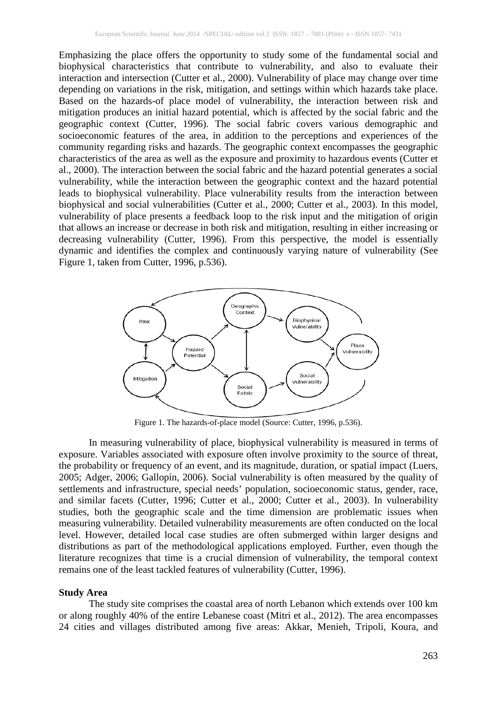Emphasizing the place offers the opportunity to study some of the fundamental social and biophysical characteristics that contribute to vulnerability, and also to evaluate their interaction and intersection (Cutter et al., 2000). Vulnerability of place may change over time depending on variations in the risk, mitigation, and settings within which hazards take place. Based on the hazards-of place model of vulnerability, the interaction between risk and mitigation produces an initial hazard potential, which is affected by the social fabric and the geographic context (Cutter, 1996). The social fabric covers various demographic and socioeconomic features of the area, in addition to the perceptions and experiences of the community regarding risks and hazards. The geographic context encompasses the geographic characteristics of the area as well as the exposure and proximity to hazardous events (Cutter et al., 2000). The interaction between the social fabric and the hazard potential generates a social vulnerability, while the interaction between the geographic context and the hazard potential leads to biophysical vulnerability. Place vulnerability results from the interaction between biophysical and social vulnerabilities (Cutter et al., 2000; Cutter et al., 2003). In this model, vulnerability of place presents a feedback loop to the risk input and the mitigation of origin that allows an increase or decrease in both risk and mitigation, resulting in either increasing or decreasing vulnerability (Cutter, 1996). From this perspective, the model is essentially dynamic and identifies the complex and continuously varying nature of vulnerability (See Figure 1, taken from Cutter, 1996, p.536).



Figure 1. The hazards-of-place model (Source: Cutter, 1996, p.536).

In measuring vulnerability of place, biophysical vulnerability is measured in terms of exposure. Variables associated with exposure often involve proximity to the source of threat, the probability or frequency of an event, and its magnitude, duration, or spatial impact (Luers, 2005; Adger, 2006; Gallopín, 2006). Social vulnerability is often measured by the quality of settlements and infrastructure, special needs' population, socioeconomic status, gender, race, and similar facets (Cutter, 1996; Cutter et al., 2000; Cutter et al., 2003). In vulnerability studies, both the geographic scale and the time dimension are problematic issues when measuring vulnerability. Detailed vulnerability measurements are often conducted on the local level. However, detailed local case studies are often submerged within larger designs and distributions as part of the methodological applications employed. Further, even though the literature recognizes that time is a crucial dimension of vulnerability, the temporal context remains one of the least tackled features of vulnerability (Cutter, 1996).

#### **Study Area**

The study site comprises the coastal area of north Lebanon which extends over 100 km or along roughly 40% of the entire Lebanese coast (Mitri et al., 2012). The area encompasses 24 cities and villages distributed among five areas: Akkar, Menieh, Tripoli, Koura, and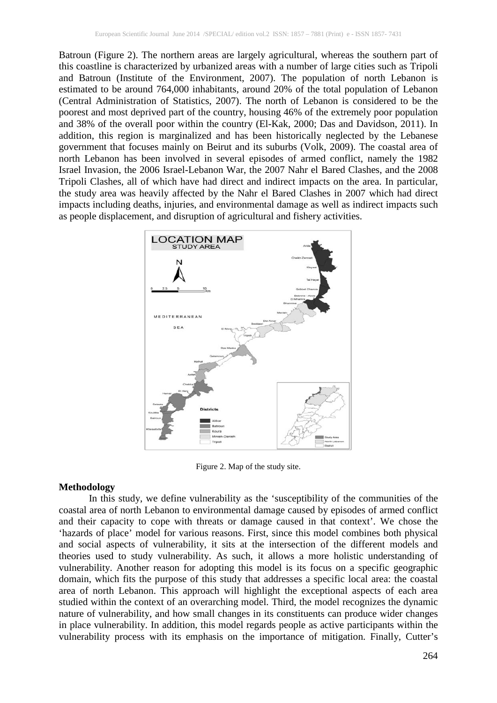Batroun (Figure 2). The northern areas are largely agricultural, whereas the southern part of this coastline is characterized by urbanized areas with a number of large cities such as Tripoli and Batroun (Institute of the Environment, 2007). The population of north Lebanon is estimated to be around 764,000 inhabitants, around 20% of the total population of Lebanon (Central Administration of Statistics, 2007). The north of Lebanon is considered to be the poorest and most deprived part of the country, housing 46% of the extremely poor population and 38% of the overall poor within the country (El-Kak, 2000; Das and Davidson, 2011). In addition, this region is marginalized and has been historically neglected by the Lebanese government that focuses mainly on Beirut and its suburbs (Volk, 2009). The coastal area of north Lebanon has been involved in several episodes of armed conflict, namely the 1982 Israel Invasion, the 2006 Israel-Lebanon War, the 2007 Nahr el Bared Clashes, and the 2008 Tripoli Clashes, all of which have had direct and indirect impacts on the area. In particular, the study area was heavily affected by the Nahr el Bared Clashes in 2007 which had direct impacts including deaths, injuries, and environmental damage as well as indirect impacts such as people displacement, and disruption of agricultural and fishery activities.



Figure 2. Map of the study site.

# **Methodology**

In this study, we define vulnerability as the 'susceptibility of the communities of the coastal area of north Lebanon to environmental damage caused by episodes of armed conflict and their capacity to cope with threats or damage caused in that context'. We chose the 'hazards of place' model for various reasons. First, since this model combines both physical and social aspects of vulnerability, it sits at the intersection of the different models and theories used to study vulnerability. As such, it allows a more holistic understanding of vulnerability. Another reason for adopting this model is its focus on a specific geographic domain, which fits the purpose of this study that addresses a specific local area: the coastal area of north Lebanon. This approach will highlight the exceptional aspects of each area studied within the context of an overarching model. Third, the model recognizes the dynamic nature of vulnerability, and how small changes in its constituents can produce wider changes in place vulnerability. In addition, this model regards people as active participants within the vulnerability process with its emphasis on the importance of mitigation. Finally, Cutter's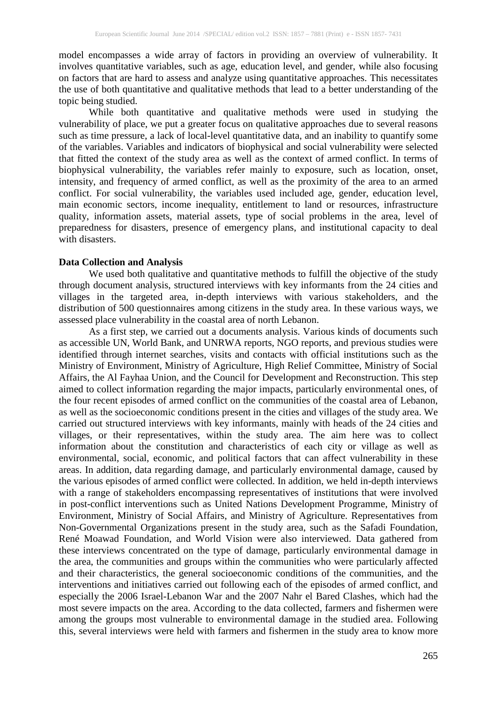model encompasses a wide array of factors in providing an overview of vulnerability. It involves quantitative variables, such as age, education level, and gender, while also focusing on factors that are hard to assess and analyze using quantitative approaches. This necessitates the use of both quantitative and qualitative methods that lead to a better understanding of the topic being studied.

While both quantitative and qualitative methods were used in studying the vulnerability of place, we put a greater focus on qualitative approaches due to several reasons such as time pressure, a lack of local-level quantitative data, and an inability to quantify some of the variables. Variables and indicators of biophysical and social vulnerability were selected that fitted the context of the study area as well as the context of armed conflict. In terms of biophysical vulnerability, the variables refer mainly to exposure, such as location, onset, intensity, and frequency of armed conflict, as well as the proximity of the area to an armed conflict. For social vulnerability, the variables used included age, gender, education level, main economic sectors, income inequality, entitlement to land or resources, infrastructure quality, information assets, material assets, type of social problems in the area, level of preparedness for disasters, presence of emergency plans, and institutional capacity to deal with disasters.

## **Data Collection and Analysis**

We used both qualitative and quantitative methods to fulfill the objective of the study through document analysis, structured interviews with key informants from the 24 cities and villages in the targeted area, in-depth interviews with various stakeholders, and the distribution of 500 questionnaires among citizens in the study area. In these various ways, we assessed place vulnerability in the coastal area of north Lebanon.

As a first step, we carried out a documents analysis. Various kinds of documents such as accessible UN, World Bank, and UNRWA reports, NGO reports, and previous studies were identified through internet searches, visits and contacts with official institutions such as the Ministry of Environment, Ministry of Agriculture, High Relief Committee, Ministry of Social Affairs, the Al Fayhaa Union, and the Council for Development and Reconstruction. This step aimed to collect information regarding the major impacts, particularly environmental ones, of the four recent episodes of armed conflict on the communities of the coastal area of Lebanon, as well as the socioeconomic conditions present in the cities and villages of the study area. We carried out structured interviews with key informants, mainly with heads of the 24 cities and villages, or their representatives, within the study area. The aim here was to collect information about the constitution and characteristics of each city or village as well as environmental, social, economic, and political factors that can affect vulnerability in these areas. In addition, data regarding damage, and particularly environmental damage, caused by the various episodes of armed conflict were collected. In addition, we held in-depth interviews with a range of stakeholders encompassing representatives of institutions that were involved in post-conflict interventions such as United Nations Development Programme, Ministry of Environment, Ministry of Social Affairs, and Ministry of Agriculture. Representatives from Non-Governmental Organizations present in the study area, such as the Safadi Foundation, René Moawad Foundation, and World Vision were also interviewed. Data gathered from these interviews concentrated on the type of damage, particularly environmental damage in the area, the communities and groups within the communities who were particularly affected and their characteristics, the general socioeconomic conditions of the communities, and the interventions and initiatives carried out following each of the episodes of armed conflict, and especially the 2006 Israel-Lebanon War and the 2007 Nahr el Bared Clashes, which had the most severe impacts on the area. According to the data collected, farmers and fishermen were among the groups most vulnerable to environmental damage in the studied area. Following this, several interviews were held with farmers and fishermen in the study area to know more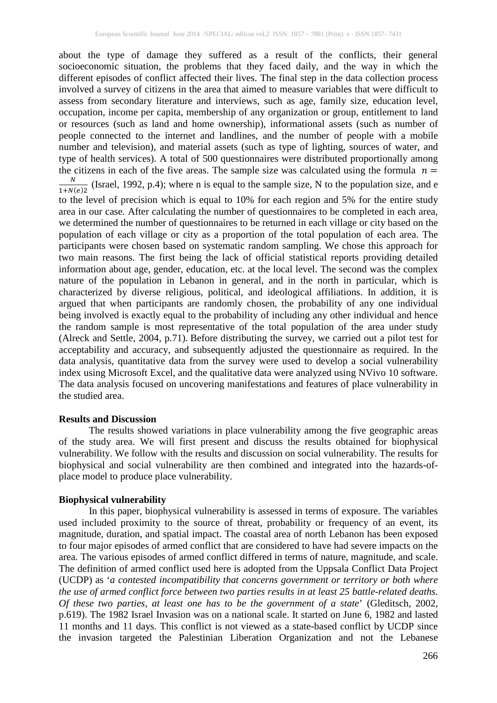about the type of damage they suffered as a result of the conflicts, their general socioeconomic situation, the problems that they faced daily, and the way in which the different episodes of conflict affected their lives. The final step in the data collection process involved a survey of citizens in the area that aimed to measure variables that were difficult to assess from secondary literature and interviews, such as age, family size, education level, occupation, income per capita, membership of any organization or group, entitlement to land or resources (such as land and home ownership), informational assets (such as number of people connected to the internet and landlines, and the number of people with a mobile number and television), and material assets (such as type of lighting, sources of water, and type of health services). A total of 500 questionnaires were distributed proportionally among the citizens in each of the five areas. The sample size was calculated using the formula  $n =$ the citizens in each of the five areas. The sample size was calculated using the formula  $n = \frac{N}{\sqrt{N}}$  (Israel, 1992, p.4); where n is equal to the sample size. N to the population size, and e  $\frac{N}{1+N(e)2}$  (Israel, 1992, p.4); where n is equal to the sample size, N to the population size, and e to the level of precision which is equal to 10% for each region and 5% for the entire study area in our case. After calculating the number of questionnaires to be completed in each area, we determined the number of questionnaires to be returned in each village or city based on the population of each village or city as a proportion of the total population of each area. The participants were chosen based on systematic random sampling. We chose this approach for two main reasons. The first being the lack of official statistical reports providing detailed information about age, gender, education, etc. at the local level. The second was the complex nature of the population in Lebanon in general, and in the north in particular, which is characterized by diverse religious, political, and ideological affiliations. In addition, it is argued that when participants are randomly chosen, the probability of any one individual being involved is exactly equal to the probability of including any other individual and hence the random sample is most representative of the total population of the area under study (Alreck and Settle, 2004, p.71). Before distributing the survey, we carried out a pilot test for acceptability and accuracy, and subsequently adjusted the questionnaire as required. In the data analysis, quantitative data from the survey were used to develop a social vulnerability index using Microsoft Excel, and the qualitative data were analyzed using NVivo 10 software. The data analysis focused on uncovering manifestations and features of place vulnerability in the studied area.

#### **Results and Discussion**

The results showed variations in place vulnerability among the five geographic areas of the study area. We will first present and discuss the results obtained for biophysical vulnerability. We follow with the results and discussion on social vulnerability. The results for biophysical and social vulnerability are then combined and integrated into the hazards-ofplace model to produce place vulnerability.

#### **Biophysical vulnerability**

In this paper, biophysical vulnerability is assessed in terms of exposure. The variables used included proximity to the source of threat, probability or frequency of an event, its magnitude, duration, and spatial impact. The coastal area of north Lebanon has been exposed to four major episodes of armed conflict that are considered to have had severe impacts on the area. The various episodes of armed conflict differed in terms of nature, magnitude, and scale. The definition of armed conflict used here is adopted from the Uppsala Conflict Data Project (UCDP) as '*a contested incompatibility that concerns government or territory or both where the use of armed conflict force between two parties results in at least 25 battle-related deaths. Of these two parties, at least one has to be the government of a state*' (Gleditsch, 2002, p.619). The 1982 Israel Invasion was on a national scale. It started on June 6, 1982 and lasted 11 months and 11 days. This conflict is not viewed as a state-based conflict by UCDP since the invasion targeted the Palestinian Liberation Organization and not the Lebanese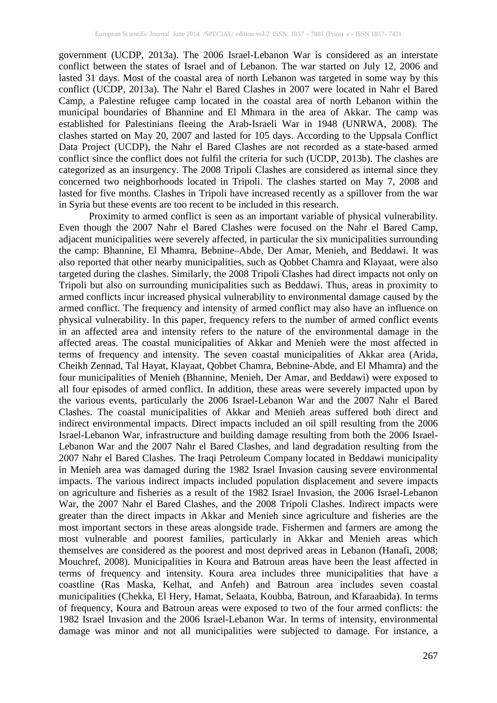government (UCDP, 2013a). The 2006 Israel-Lebanon War is considered as an interstate conflict between the states of Israel and of Lebanon. The war started on July 12, 2006 and lasted 31 days. Most of the coastal area of north Lebanon was targeted in some way by this conflict (UCDP, 2013a). The Nahr el Bared Clashes in 2007 were located in Nahr el Bared Camp, a Palestine refugee camp located in the coastal area of north Lebanon within the municipal boundaries of Bhannine and El Mhmara in the area of Akkar. The camp was established for Palestinians fleeing the Arab-Israeli War in 1948 (UNRWA, 2008). The clashes started on May 20, 2007 and lasted for 105 days. According to the Uppsala Conflict Data Project (UCDP), the Nahr el Bared Clashes are not recorded as a state-based armed conflict since the conflict does not fulfil the criteria for such (UCDP, 2013b). The clashes are categorized as an insurgency. The 2008 Tripoli Clashes are considered as internal since they concerned two neighborhoods located in Tripoli. The clashes started on May 7, 2008 and lasted for five months. Clashes in Tripoli have increased recently as a spillover from the war in Syria but these events are too recent to be included in this research.

Proximity to armed conflict is seen as an important variable of physical vulnerability. Even though the 2007 Nahr el Bared Clashes were focused on the Nahr el Bared Camp, adjacent municipalities were severely affected, in particular the six municipalities surrounding the camp: Bhannine, El Mhamra, Bebnine–Abde, Der Amar, Menieh, and Beddawi. It was also reported that other nearby municipalities, such as Qobbet Chamra and Klayaat, were also targeted during the clashes. Similarly, the 2008 Tripoli Clashes had direct impacts not only on Tripoli but also on surrounding municipalities such as Beddawi. Thus, areas in proximity to armed conflicts incur increased physical vulnerability to environmental damage caused by the armed conflict. The frequency and intensity of armed conflict may also have an influence on physical vulnerability. In this paper, frequency refers to the number of armed conflict events in an affected area and intensity refers to the nature of the environmental damage in the affected areas. The coastal municipalities of Akkar and Menieh were the most affected in terms of frequency and intensity. The seven coastal municipalities of Akkar area (Arida, Cheikh Zennad, Tal Hayat, Klayaat, Qobbet Chamra, Bebnine-Abde, and El Mhamra) and the four municipalities of Menieh (Bhannine, Menieh, Der Amar, and Beddawi) were exposed to all four episodes of armed conflict. In addition, these areas were severely impacted upon by the various events, particularly the 2006 Israel-Lebanon War and the 2007 Nahr el Bared Clashes. The coastal municipalities of Akkar and Menieh areas suffered both direct and indirect environmental impacts. Direct impacts included an oil spill resulting from the 2006 Israel-Lebanon War, infrastructure and building damage resulting from both the 2006 Israel-Lebanon War and the 2007 Nahr el Bared Clashes, and land degradation resulting from the 2007 Nahr el Bared Clashes. The Iraqi Petroleum Company located in Beddawi municipality in Menieh area was damaged during the 1982 Israel Invasion causing severe environmental impacts. The various indirect impacts included population displacement and severe impacts on agriculture and fisheries as a result of the 1982 Israel Invasion, the 2006 Israel-Lebanon War, the 2007 Nahr el Bared Clashes, and the 2008 Tripoli Clashes. Indirect impacts were greater than the direct impacts in Akkar and Menieh since agriculture and fisheries are the most important sectors in these areas alongside trade. Fishermen and farmers are among the most vulnerable and poorest families, particularly in Akkar and Menieh areas which themselves are considered as the poorest and most deprived areas in Lebanon (Hanafi, 2008; Mouchref, 2008). Municipalities in Koura and Batroun areas have been the least affected in terms of frequency and intensity. Koura area includes three municipalities that have a coastline (Ras Maska, Kelhat, and Anfeh) and Batroun area includes seven coastal municipalities (Chekka, El Hery, Hamat, Selaata, Koubba, Batroun, and Kfaraabida). In terms of frequency, Koura and Batroun areas were exposed to two of the four armed conflicts: the 1982 Israel Invasion and the 2006 Israel-Lebanon War. In terms of intensity, environmental damage was minor and not all municipalities were subjected to damage. For instance, a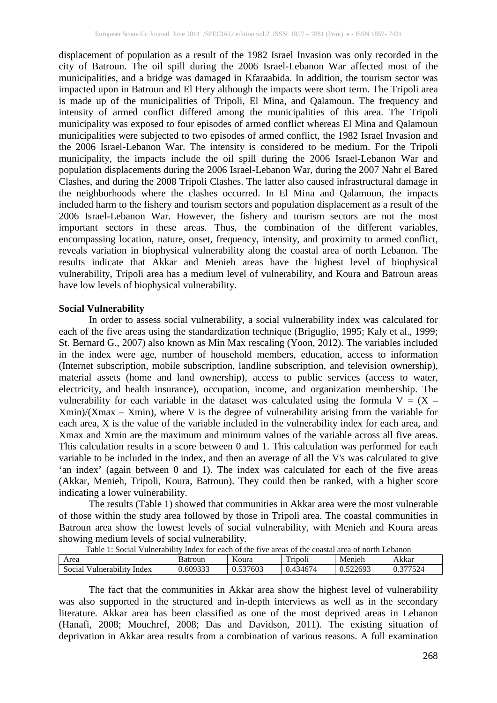displacement of population as a result of the 1982 Israel Invasion was only recorded in the city of Batroun. The oil spill during the 2006 Israel-Lebanon War affected most of the municipalities, and a bridge was damaged in Kfaraabida. In addition, the tourism sector was impacted upon in Batroun and El Hery although the impacts were short term. The Tripoli area is made up of the municipalities of Tripoli, El Mina, and Qalamoun. The frequency and intensity of armed conflict differed among the municipalities of this area. The Tripoli municipality was exposed to four episodes of armed conflict whereas El Mina and Qalamoun municipalities were subjected to two episodes of armed conflict, the 1982 Israel Invasion and the 2006 Israel-Lebanon War. The intensity is considered to be medium. For the Tripoli municipality, the impacts include the oil spill during the 2006 Israel-Lebanon War and population displacements during the 2006 Israel-Lebanon War, during the 2007 Nahr el Bared Clashes, and during the 2008 Tripoli Clashes. The latter also caused infrastructural damage in the neighborhoods where the clashes occurred. In El Mina and Qalamoun, the impacts included harm to the fishery and tourism sectors and population displacement as a result of the 2006 Israel-Lebanon War. However, the fishery and tourism sectors are not the most important sectors in these areas. Thus, the combination of the different variables, encompassing location, nature, onset, frequency, intensity, and proximity to armed conflict, reveals variation in biophysical vulnerability along the coastal area of north Lebanon. The results indicate that Akkar and Menieh areas have the highest level of biophysical vulnerability, Tripoli area has a medium level of vulnerability, and Koura and Batroun areas have low levels of biophysical vulnerability.

#### **Social Vulnerability**

In order to assess social vulnerability, a social vulnerability index was calculated for each of the five areas using the standardization technique (Briguglio, 1995; Kaly et al., 1999; St. Bernard G., 2007) also known as Min Max rescaling (Yoon, 2012). The variables included in the index were age, number of household members, education, access to information (Internet subscription, mobile subscription, landline subscription, and television ownership), material assets (home and land ownership), access to public services (access to water, electricity, and health insurance), occupation, income, and organization membership. The vulnerability for each variable in the dataset was calculated using the formula  $V = (X \text{Xmin}/(\text{Xmax} - \text{Xmin})$ , where V is the degree of vulnerability arising from the variable for each area, X is the value of the variable included in the vulnerability index for each area, and Xmax and Xmin are the maximum and minimum values of the variable across all five areas. This calculation results in a score between 0 and 1. This calculation was performed for each variable to be included in the index, and then an average of all the V's was calculated to give 'an index' (again between 0 and 1). The index was calculated for each of the five areas (Akkar, Menieh, Tripoli, Koura, Batroun). They could then be ranked, with a higher score indicating a lower vulnerability.

The results (Table 1) showed that communities in Akkar area were the most vulnerable of those within the study area followed by those in Tripoli area. The coastal communities in Batroun area show the lowest levels of social vulnerability, with Menieh and Koura areas showing medium levels of social vulnerability.

| Lable 1: Social Vulnerability Index for each of the five areas of the coastal area of north Lebanon |          |          |          |          |          |
|-----------------------------------------------------------------------------------------------------|----------|----------|----------|----------|----------|
| Area                                                                                                | Batroun  | Koura    | Tripoli  | Menieh   | Akkar    |
| l Vulnerability Index<br>Social                                                                     | 0.609333 | 0.537603 | 0.434674 | 0.522693 | 0.377524 |

Table 1: Social Vulnerability Index for each of the five areas of the coastal area of north Lebanon

The fact that the communities in Akkar area show the highest level of vulnerability was also supported in the structured and in-depth interviews as well as in the secondary literature. Akkar area has been classified as one of the most deprived areas in Lebanon (Hanafi, 2008; Mouchref, 2008; Das and Davidson, 2011). The existing situation of deprivation in Akkar area results from a combination of various reasons. A full examination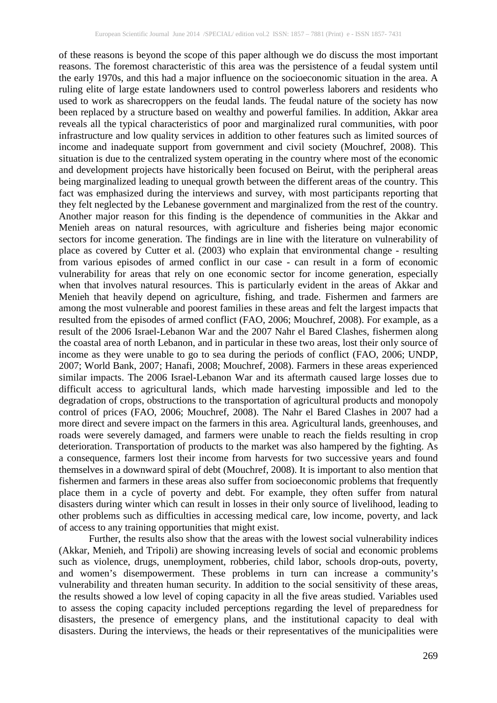of these reasons is beyond the scope of this paper although we do discuss the most important reasons. The foremost characteristic of this area was the persistence of a feudal system until the early 1970s, and this had a major influence on the socioeconomic situation in the area. A ruling elite of large estate landowners used to control powerless laborers and residents who used to work as sharecroppers on the feudal lands. The feudal nature of the society has now been replaced by a structure based on wealthy and powerful families. In addition, Akkar area reveals all the typical characteristics of poor and marginalized rural communities, with poor infrastructure and low quality services in addition to other features such as limited sources of income and inadequate support from government and civil society (Mouchref, 2008). This situation is due to the centralized system operating in the country where most of the economic and development projects have historically been focused on Beirut, with the peripheral areas being marginalized leading to unequal growth between the different areas of the country. This fact was emphasized during the interviews and survey, with most participants reporting that they felt neglected by the Lebanese government and marginalized from the rest of the country. Another major reason for this finding is the dependence of communities in the Akkar and Menieh areas on natural resources, with agriculture and fisheries being major economic sectors for income generation. The findings are in line with the literature on vulnerability of place as covered by Cutter et al. (2003) who explain that environmental change - resulting from various episodes of armed conflict in our case - can result in a form of economic vulnerability for areas that rely on one economic sector for income generation, especially when that involves natural resources. This is particularly evident in the areas of Akkar and Menieh that heavily depend on agriculture, fishing, and trade. Fishermen and farmers are among the most vulnerable and poorest families in these areas and felt the largest impacts that resulted from the episodes of armed conflict (FAO, 2006; Mouchref, 2008). For example, as a result of the 2006 Israel-Lebanon War and the 2007 Nahr el Bared Clashes, fishermen along the coastal area of north Lebanon, and in particular in these two areas, lost their only source of income as they were unable to go to sea during the periods of conflict (FAO, 2006; UNDP, 2007; World Bank, 2007; Hanafi, 2008; Mouchref, 2008). Farmers in these areas experienced similar impacts. The 2006 Israel-Lebanon War and its aftermath caused large losses due to difficult access to agricultural lands, which made harvesting impossible and led to the degradation of crops, obstructions to the transportation of agricultural products and monopoly control of prices (FAO, 2006; Mouchref, 2008). The Nahr el Bared Clashes in 2007 had a more direct and severe impact on the farmers in this area. Agricultural lands, greenhouses, and roads were severely damaged, and farmers were unable to reach the fields resulting in crop deterioration. Transportation of products to the market was also hampered by the fighting. As a consequence, farmers lost their income from harvests for two successive years and found themselves in a downward spiral of debt (Mouchref, 2008). It is important to also mention that fishermen and farmers in these areas also suffer from socioeconomic problems that frequently place them in a cycle of poverty and debt. For example, they often suffer from natural disasters during winter which can result in losses in their only source of livelihood, leading to other problems such as difficulties in accessing medical care, low income, poverty, and lack of access to any training opportunities that might exist.

Further, the results also show that the areas with the lowest social vulnerability indices (Akkar, Menieh, and Tripoli) are showing increasing levels of social and economic problems such as violence, drugs, unemployment, robberies, child labor, schools drop-outs, poverty, and women's disempowerment. These problems in turn can increase a community's vulnerability and threaten human security. In addition to the social sensitivity of these areas, the results showed a low level of coping capacity in all the five areas studied. Variables used to assess the coping capacity included perceptions regarding the level of preparedness for disasters, the presence of emergency plans, and the institutional capacity to deal with disasters. During the interviews, the heads or their representatives of the municipalities were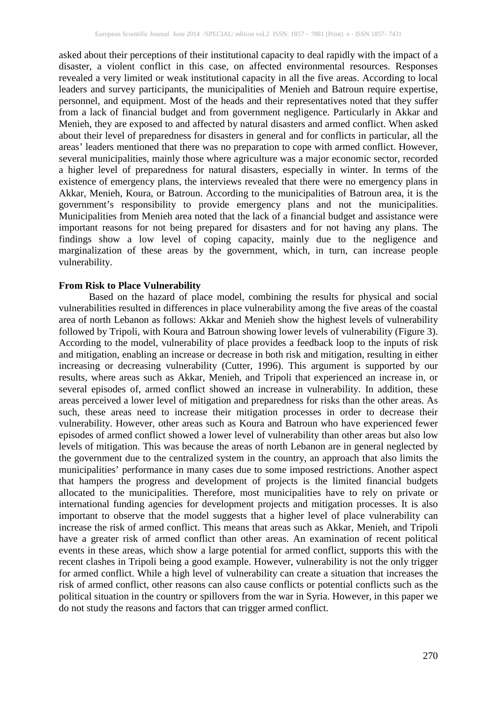asked about their perceptions of their institutional capacity to deal rapidly with the impact of a disaster, a violent conflict in this case, on affected environmental resources. Responses revealed a very limited or weak institutional capacity in all the five areas. According to local leaders and survey participants, the municipalities of Menieh and Batroun require expertise, personnel, and equipment. Most of the heads and their representatives noted that they suffer from a lack of financial budget and from government negligence. Particularly in Akkar and Menieh, they are exposed to and affected by natural disasters and armed conflict. When asked about their level of preparedness for disasters in general and for conflicts in particular, all the areas' leaders mentioned that there was no preparation to cope with armed conflict. However, several municipalities, mainly those where agriculture was a major economic sector, recorded a higher level of preparedness for natural disasters, especially in winter. In terms of the existence of emergency plans, the interviews revealed that there were no emergency plans in Akkar, Menieh, Koura, or Batroun. According to the municipalities of Batroun area, it is the government's responsibility to provide emergency plans and not the municipalities. Municipalities from Menieh area noted that the lack of a financial budget and assistance were important reasons for not being prepared for disasters and for not having any plans. The findings show a low level of coping capacity, mainly due to the negligence and marginalization of these areas by the government, which, in turn, can increase people vulnerability.

#### **From Risk to Place Vulnerability**

Based on the hazard of place model, combining the results for physical and social vulnerabilities resulted in differences in place vulnerability among the five areas of the coastal area of north Lebanon as follows: Akkar and Menieh show the highest levels of vulnerability followed by Tripoli, with Koura and Batroun showing lower levels of vulnerability (Figure 3). According to the model, vulnerability of place provides a feedback loop to the inputs of risk and mitigation, enabling an increase or decrease in both risk and mitigation, resulting in either increasing or decreasing vulnerability (Cutter, 1996). This argument is supported by our results, where areas such as Akkar, Menieh, and Tripoli that experienced an increase in, or several episodes of, armed conflict showed an increase in vulnerability. In addition, these areas perceived a lower level of mitigation and preparedness for risks than the other areas. As such, these areas need to increase their mitigation processes in order to decrease their vulnerability. However, other areas such as Koura and Batroun who have experienced fewer episodes of armed conflict showed a lower level of vulnerability than other areas but also low levels of mitigation. This was because the areas of north Lebanon are in general neglected by the government due to the centralized system in the country, an approach that also limits the municipalities' performance in many cases due to some imposed restrictions. Another aspect that hampers the progress and development of projects is the limited financial budgets allocated to the municipalities. Therefore, most municipalities have to rely on private or international funding agencies for development projects and mitigation processes. It is also important to observe that the model suggests that a higher level of place vulnerability can increase the risk of armed conflict. This means that areas such as Akkar, Menieh, and Tripoli have a greater risk of armed conflict than other areas. An examination of recent political events in these areas, which show a large potential for armed conflict, supports this with the recent clashes in Tripoli being a good example. However, vulnerability is not the only trigger for armed conflict. While a high level of vulnerability can create a situation that increases the risk of armed conflict, other reasons can also cause conflicts or potential conflicts such as the political situation in the country or spillovers from the war in Syria. However, in this paper we do not study the reasons and factors that can trigger armed conflict.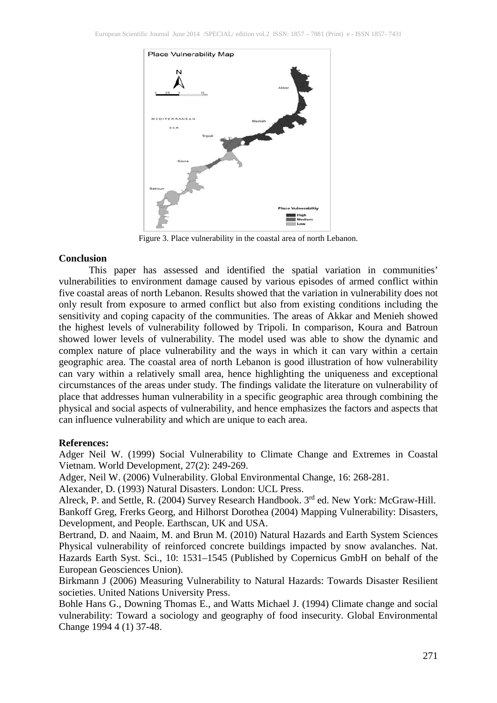

Figure 3. Place vulnerability in the coastal area of north Lebanon.

## **Conclusion**

This paper has assessed and identified the spatial variation in communities' vulnerabilities to environment damage caused by various episodes of armed conflict within five coastal areas of north Lebanon. Results showed that the variation in vulnerability does not only result from exposure to armed conflict but also from existing conditions including the sensitivity and coping capacity of the communities. The areas of Akkar and Menieh showed the highest levels of vulnerability followed by Tripoli. In comparison, Koura and Batroun showed lower levels of vulnerability. The model used was able to show the dynamic and complex nature of place vulnerability and the ways in which it can vary within a certain geographic area. The coastal area of north Lebanon is good illustration of how vulnerability can vary within a relatively small area, hence highlighting the uniqueness and exceptional circumstances of the areas under study. The findings validate the literature on vulnerability of place that addresses human vulnerability in a specific geographic area through combining the physical and social aspects of vulnerability, and hence emphasizes the factors and aspects that can influence vulnerability and which are unique to each area.

#### **References:**

Adger Neil W. (1999) Social Vulnerability to Climate Change and Extremes in Coastal Vietnam. World Development, 27(2): 249-269.

Adger, Neil W. (2006) Vulnerability. Global Environmental Change, 16: 268-281.

Alexander, D. (1993) Natural Disasters. London: UCL Press.

Alreck, P. and Settle, R. (2004) Survey Research Handbook. 3rd ed. New York: McGraw-Hill. Bankoff Greg, Frerks Georg, and Hilhorst Dorothea (2004) Mapping Vulnerability: Disasters, Development, and People. Earthscan, UK and USA.

Bertrand, D. and Naaim, M. and Brun M. (2010) Natural Hazards and Earth System Sciences Physical vulnerability of reinforced concrete buildings impacted by snow avalanches. Nat. Hazards Earth Syst. Sci., 10: 1531–1545 (Published by Copernicus GmbH on behalf of the European Geosciences Union).

Birkmann J (2006) Measuring Vulnerability to Natural Hazards: Towards Disaster Resilient societies. United Nations University Press.

Bohle Hans G., Downing Thomas E., and Watts Michael J. (1994) Climate change and social vulnerability: Toward a sociology and geography of food insecurity. Global Environmental Change 1994 4 (1) 37-48.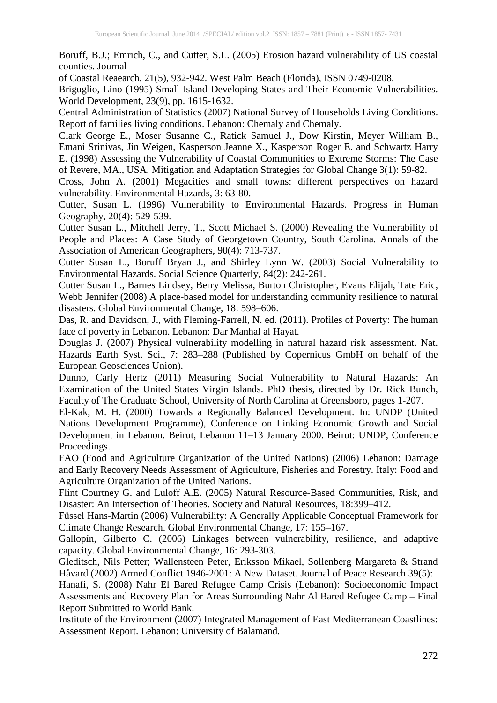Boruff, B.J.; Emrich, C., and Cutter, S.L. (2005) Erosion hazard vulnerability of US coastal counties. Journal

of Coastal Reaearch. 21(5), 932-942. West Palm Beach (Florida), ISSN 0749-0208.

Briguglio, Lino (1995) Small Island Developing States and Their Economic Vulnerabilities. World Development, 23(9), pp. 1615-1632.

Central Administration of Statistics (2007) National Survey of Households Living Conditions. Report of families living conditions. Lebanon: Chemaly and Chemaly.

Clark George E., Moser Susanne C., Ratick Samuel J., Dow Kirstin, Meyer William B., Emani Srinivas, Jin Weigen, Kasperson Jeanne X., Kasperson Roger E. and Schwartz Harry E. (1998) Assessing the Vulnerability of Coastal Communities to Extreme Storms: The Case of Revere, MA., USA. Mitigation and Adaptation Strategies for Global Change 3(1): 59-82.

Cross, John A. (2001) Megacities and small towns: different perspectives on hazard vulnerability. Environmental Hazards, 3: 63-80.

Cutter, Susan L. (1996) Vulnerability to Environmental Hazards. Progress in Human Geography, 20(4): 529-539.

Cutter Susan L., Mitchell Jerry, T., Scott Michael S. (2000) Revealing the Vulnerability of People and Places: A Case Study of Georgetown Country, South Carolina. Annals of the Association of American Geographers, 90(4): 713-737.

Cutter Susan L., Boruff Bryan J., and Shirley Lynn W. (2003) Social Vulnerability to Environmental Hazards. Social Science Quarterly, 84(2): 242-261.

Cutter Susan L., Barnes Lindsey, Berry Melissa, Burton Christopher, Evans Elijah, Tate Eric, Webb Jennifer (2008) A place-based model for understanding community resilience to natural disasters. Global Environmental Change, 18: 598–606.

Das, R. and Davidson, J., with Fleming-Farrell, N. ed. (2011). Profiles of Poverty: The human face of poverty in Lebanon. Lebanon: Dar Manhal al Hayat.

Douglas J. (2007) Physical vulnerability modelling in natural hazard risk assessment. Nat. Hazards Earth Syst. Sci., 7: 283–288 (Published by Copernicus GmbH on behalf of the European Geosciences Union).

Dunno, Carly Hertz (2011) Measuring Social Vulnerability to Natural Hazards: An Examination of the United States Virgin Islands. PhD thesis, directed by Dr. Rick Bunch, Faculty of The Graduate School, University of North Carolina at Greensboro, pages 1-207.

El-Kak, M. H. (2000) Towards a Regionally Balanced Development. In: UNDP (United Nations Development Programme), Conference on Linking Economic Growth and Social Development in Lebanon. Beirut, Lebanon 11–13 January 2000. Beirut: UNDP, Conference Proceedings.

FAO (Food and Agriculture Organization of the United Nations) (2006) Lebanon: Damage and Early Recovery Needs Assessment of Agriculture, Fisheries and Forestry. Italy: Food and Agriculture Organization of the United Nations.

Flint Courtney G. and Luloff A.E. (2005) Natural Resource-Based Communities, Risk, and Disaster: An Intersection of Theories. Society and Natural Resources, 18:399–412.

Füssel Hans-Martin (2006) Vulnerability: A Generally Applicable Conceptual Framework for Climate Change Research. Global Environmental Change, 17: 155–167.

Gallopín, Gilberto C. (2006) Linkages between vulnerability, resilience, and adaptive capacity. Global Environmental Change, 16: 293-303.

Gleditsch, Nils Petter; Wallensteen Peter, Eriksson Mikael, Sollenberg Margareta & Strand Håvard (2002) Armed Conflict 1946-2001: A New Dataset. Journal of Peace Research 39(5):

Hanafi, S. (2008) Nahr El Bared Refugee Camp Crisis (Lebanon): Socioeconomic Impact Assessments and Recovery Plan for Areas Surrounding Nahr Al Bared Refugee Camp – Final Report Submitted to World Bank.

Institute of the Environment (2007) Integrated Management of East Mediterranean Coastlines: Assessment Report. Lebanon: University of Balamand.